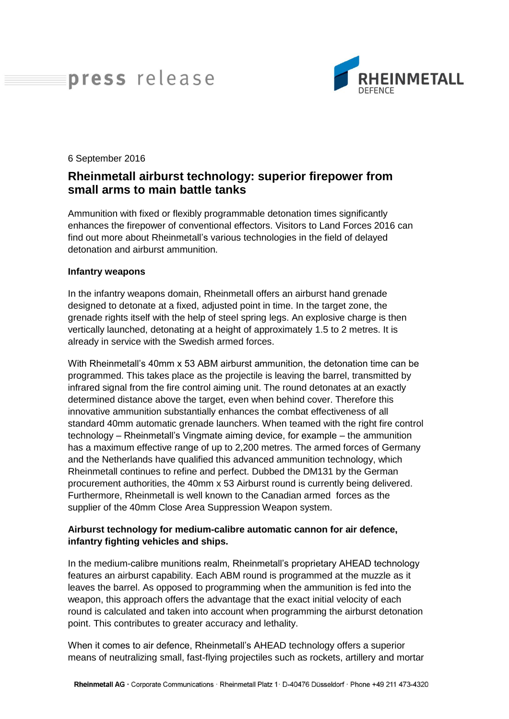# press release



#### 6 September 2016

## **Rheinmetall airburst technology: superior firepower from small arms to main battle tanks**

Ammunition with fixed or flexibly programmable detonation times significantly enhances the firepower of conventional effectors. Visitors to Land Forces 2016 can find out more about Rheinmetall's various technologies in the field of delayed detonation and airburst ammunition.

#### **Infantry weapons**

In the infantry weapons domain, Rheinmetall offers an airburst hand grenade designed to detonate at a fixed, adjusted point in time. In the target zone, the grenade rights itself with the help of steel spring legs. An explosive charge is then vertically launched, detonating at a height of approximately 1.5 to 2 metres. It is already in service with the Swedish armed forces.

With Rheinmetall's 40mm x 53 ABM airburst ammunition, the detonation time can be programmed. This takes place as the projectile is leaving the barrel, transmitted by infrared signal from the fire control aiming unit. The round detonates at an exactly determined distance above the target, even when behind cover. Therefore this innovative ammunition substantially enhances the combat effectiveness of all standard 40mm automatic grenade launchers. When teamed with the right fire control technology – Rheinmetall's Vingmate aiming device, for example – the ammunition has a maximum effective range of up to 2,200 metres. The armed forces of Germany and the Netherlands have qualified this advanced ammunition technology, which Rheinmetall continues to refine and perfect. Dubbed the DM131 by the German procurement authorities, the 40mm x 53 Airburst round is currently being delivered. Furthermore, Rheinmetall is well known to the Canadian armed forces as the supplier of the 40mm Close Area Suppression Weapon system.

### **Airburst technology for medium-calibre automatic cannon for air defence, infantry fighting vehicles and ships.**

In the medium-calibre munitions realm, Rheinmetall's proprietary AHEAD technology features an airburst capability. Each ABM round is programmed at the muzzle as it leaves the barrel. As opposed to programming when the ammunition is fed into the weapon, this approach offers the advantage that the exact initial velocity of each round is calculated and taken into account when programming the airburst detonation point. This contributes to greater accuracy and lethality.

When it comes to air defence, Rheinmetall's AHEAD technology offers a superior means of neutralizing small, fast-flying projectiles such as rockets, artillery and mortar